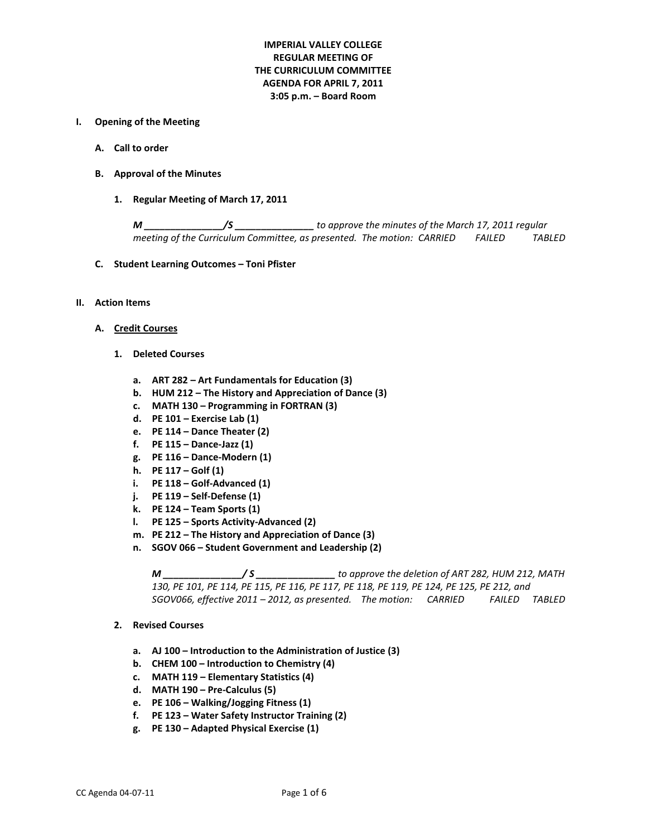# **IMPERIAL VALLEY COLLEGE REGULAR MEETING OF THE CURRICULUM COMMITTEE AGENDA FOR APRIL 7, 2011 3:05 p.m. – Board Room**

#### **I. Opening of the Meeting**

- **A. Call to order**
- **B. Approval of the Minutes**
	- **1. Regular Meeting of March 17, 2011**

*M \_\_\_\_\_\_\_\_\_\_\_\_\_\_\_/S \_\_\_\_\_\_\_\_\_\_\_\_\_\_\_ to approve the minutes of the March 17, 2011 regular meeting of the Curriculum Committee, as presented. The motion: CARRIED FAILED TABLED*

- **C. Student Learning Outcomes – Toni Pfister**
- **II. Action Items**
	- **A. Credit Courses**
		- **1. Deleted Courses**
			- **a. ART 282 – Art Fundamentals for Education (3)**
			- **b. HUM 212 – The History and Appreciation of Dance (3)**
			- **c. MATH 130 – Programming in FORTRAN (3)**
			- **d. PE 101 – Exercise Lab (1)**
			- **e. PE 114 – Dance Theater (2)**
			- **f. PE 115 – Dance-Jazz (1)**
			- **g. PE 116 – Dance-Modern (1)**
			- **h. PE 117 – Golf (1)**
			- **i. PE 118 – Golf-Advanced (1)**
			- **j. PE 119 – Self-Defense (1)**
			- **k. PE 124 – Team Sports (1)**
			- **l. PE 125 – Sports Activity-Advanced (2)**
			- **m. PE 212 – The History and Appreciation of Dance (3)**
			- **n. SGOV 066 – Student Government and Leadership (2)**

*M \_\_\_\_\_\_\_\_\_\_\_\_\_\_\_/ S \_\_\_\_\_\_\_\_\_\_\_\_\_\_\_ to approve the deletion of ART 282, HUM 212, MATH 130, PE 101, PE 114, PE 115, PE 116, PE 117, PE 118, PE 119, PE 124, PE 125, PE 212, and SGOV066, effective 2011 – 2012, as presented. The motion: CARRIED FAILED TABLED*

- **2. Revised Courses**
	- **a. AJ 100 – Introduction to the Administration of Justice (3)**
	- **b. CHEM 100 – Introduction to Chemistry (4)**
	- **c. MATH 119 – Elementary Statistics (4)**
	- **d. MATH 190 – Pre-Calculus (5)**
	- **e. PE 106 – Walking/Jogging Fitness (1)**
	- **f. PE 123 – Water Safety Instructor Training (2)**
	- **g. PE 130 – Adapted Physical Exercise (1)**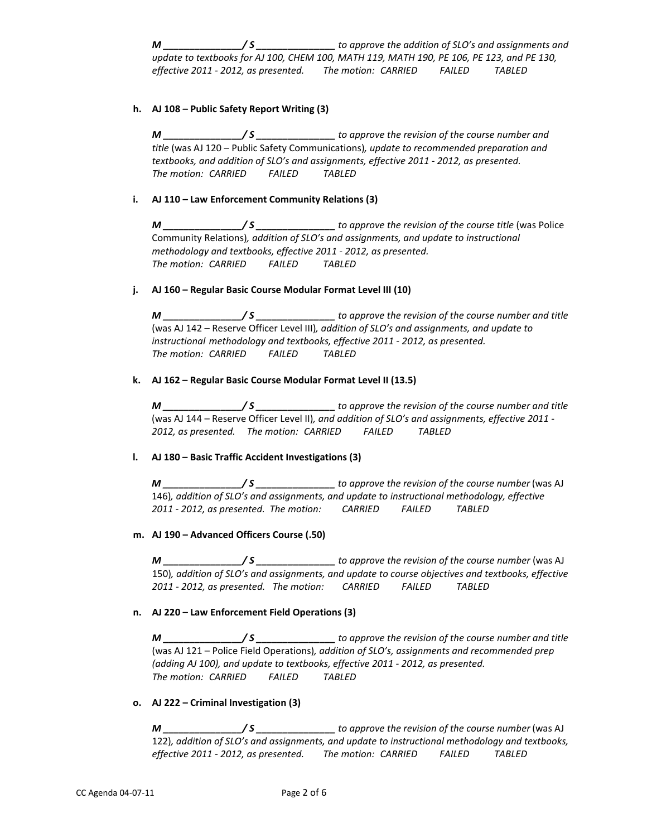*M \_\_\_\_\_\_\_\_\_\_\_\_\_\_\_/ S \_\_\_\_\_\_\_\_\_\_\_\_\_\_\_ to approve the addition of SLO's and assignments and update to textbooks for AJ 100, CHEM 100, MATH 119, MATH 190, PE 106, PE 123, and PE 130, effective 2011 - 2012, as presented. The motion: CARRIED FAILED TABLED*

## **h. AJ 108 – Public Safety Report Writing (3)**

*M \_\_\_\_\_\_\_\_\_\_\_\_\_\_\_/ S \_\_\_\_\_\_\_\_\_\_\_\_\_\_\_ to approve the revision of the course number and title* (was AJ 120 – Public Safety Communications)*, update to recommended preparation and textbooks, and addition of SLO's and assignments, effective 2011 - 2012, as presented. The motion: CARRIED FAILED TABLED*

### **i. AJ 110 – Law Enforcement Community Relations (3)**

*M*  $\frac{M}{\sqrt{S}}$  *s to approve the revision of the course title* (was Police Community Relations)*, addition of SLO's and assignments, and update to instructional methodology and textbooks, effective 2011 - 2012, as presented. The motion: CARRIED FAILED TABLED*

### **j. AJ 160 – Regular Basic Course Modular Format Level III (10)**

*M \_\_\_\_\_\_\_\_\_\_\_\_\_\_\_/ S \_\_\_\_\_\_\_\_\_\_\_\_\_\_\_ to approve the revision of the course number and title*  (was AJ 142 – Reserve Officer Level III)*, addition of SLO's and assignments, and update to instructional methodology and textbooks, effective 2011 - 2012, as presented. The motion: CARRIED FAILED TABLED*

## **k. AJ 162 – Regular Basic Course Modular Format Level II (13.5)**

*M \_\_\_\_\_\_\_\_\_\_\_\_\_\_\_/ S \_\_\_\_\_\_\_\_\_\_\_\_\_\_\_ to approve the revision of the course number and title*  (was AJ 144 – Reserve Officer Level II)*, and addition of SLO's and assignments, effective 2011 - 2012, as presented. The motion: CARRIED FAILED TABLED*

### **l. AJ 180 – Basic Traffic Accident Investigations (3)**

*M \_\_\_\_\_\_\_\_\_\_\_\_\_\_\_/ S \_\_\_\_\_\_\_\_\_\_\_\_\_\_\_ to approve the revision of the course number* (was AJ 146)*, addition of SLO's and assignments, and update to instructional methodology, effective 2011 - 2012, as presented. The motion: CARRIED FAILED TABLED*

### **m. AJ 190 – Advanced Officers Course (.50)**

*M \_\_\_\_\_\_\_\_\_\_\_\_\_\_\_/ S \_\_\_\_\_\_\_\_\_\_\_\_\_\_\_ to approve the revision of the course number* (was AJ 150)*, addition of SLO's and assignments, and update to course objectives and textbooks, effective 2011 - 2012, as presented. The motion: CARRIED FAILED TABLED*

# **n. AJ 220 – Law Enforcement Field Operations (3)**

*M \_\_\_\_\_\_\_\_\_\_\_\_\_\_\_/ S \_\_\_\_\_\_\_\_\_\_\_\_\_\_\_ to approve the revision of the course number and title*  (was AJ 121 – Police Field Operations)*, addition of SLO's, assignments and recommended prep (adding AJ 100), and update to textbooks, effective 2011 - 2012, as presented. The motion: CARRIED FAILED TABLED*

### **o. AJ 222 – Criminal Investigation (3)**

*M \_\_\_\_\_\_\_\_\_\_\_\_\_\_\_/ S \_\_\_\_\_\_\_\_\_\_\_\_\_\_\_ to approve the revision of the course number* (was AJ 122)*, addition of SLO's and assignments, and update to instructional methodology and textbooks, effective 2011 - 2012, as presented. The motion: CARRIED FAILED TABLED*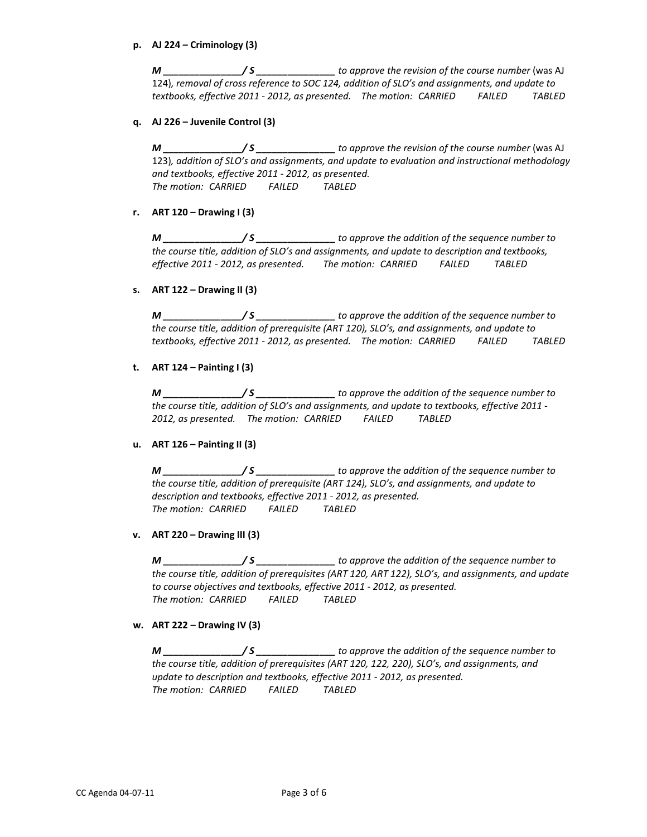## **p. AJ 224 – Criminology (3)**

*M* \_\_\_\_\_\_\_\_\_\_\_\_\_\_\_/ S \_\_\_\_\_\_\_\_\_\_\_\_\_\_\_\_\_ to approve the revision of the course number (was AJ 124)*, removal of cross reference to SOC 124, addition of SLO's and assignments, and update to textbooks, effective 2011 - 2012, as presented. The motion: CARRIED FAILED TABLED*

# **q. AJ 226 – Juvenile Control (3)**

*M \_\_\_\_\_\_\_\_\_\_\_\_\_\_\_/ S \_\_\_\_\_\_\_\_\_\_\_\_\_\_\_ to approve the revision of the course number* (was AJ 123)*, addition of SLO's and assignments, and update to evaluation and instructional methodology and textbooks, effective 2011 - 2012, as presented. The motion: CARRIED FAILED TABLED*

# **r. ART 120 – Drawing I (3)**

*M \_\_\_\_\_\_\_\_\_\_\_\_\_\_\_/ S \_\_\_\_\_\_\_\_\_\_\_\_\_\_\_ to approve the addition of the sequence number to the course title, addition of SLO's and assignments, and update to description and textbooks, effective 2011 - 2012, as presented. The motion: CARRIED FAILED TABLED*

## **s. ART 122 – Drawing II (3)**

*M \_\_\_\_\_\_\_\_\_\_\_\_\_\_\_/ S \_\_\_\_\_\_\_\_\_\_\_\_\_\_\_ to approve the addition of the sequence number to the course title, addition of prerequisite (ART 120), SLO's, and assignments, and update to textbooks, effective 2011 - 2012, as presented. The motion: CARRIED FAILED TABLED*

## **t. ART 124 – Painting I (3)**

*M \_\_\_\_\_\_\_\_\_\_\_\_\_\_\_/ S \_\_\_\_\_\_\_\_\_\_\_\_\_\_\_ to approve the addition of the sequence number to the course title, addition of SLO's and assignments, and update to textbooks, effective 2011 - 2012, as presented. The motion: CARRIED FAILED TABLED*

# **u. ART 126 – Painting II (3)**

*M \_\_\_\_\_\_\_\_\_\_\_\_\_\_\_/ S \_\_\_\_\_\_\_\_\_\_\_\_\_\_\_ to approve the addition of the sequence number to the course title, addition of prerequisite (ART 124), SLO's, and assignments, and update to description and textbooks, effective 2011 - 2012, as presented. The motion: CARRIED FAILED TABLED*

# **v. ART 220 – Drawing III (3)**

*M \_\_\_\_\_\_\_\_\_\_\_\_\_\_\_/ S \_\_\_\_\_\_\_\_\_\_\_\_\_\_\_ to approve the addition of the sequence number to the course title, addition of prerequisites (ART 120, ART 122), SLO's, and assignments, and update to course objectives and textbooks, effective 2011 - 2012, as presented. The motion: CARRIED FAILED TABLED*

### **w. ART 222 – Drawing IV (3)**

*M \_\_\_\_\_\_\_\_\_\_\_\_\_\_\_/ S \_\_\_\_\_\_\_\_\_\_\_\_\_\_\_ to approve the addition of the sequence number to the course title, addition of prerequisites (ART 120, 122, 220), SLO's, and assignments, and update to description and textbooks, effective 2011 - 2012, as presented. The motion: CARRIED FAILED TABLED*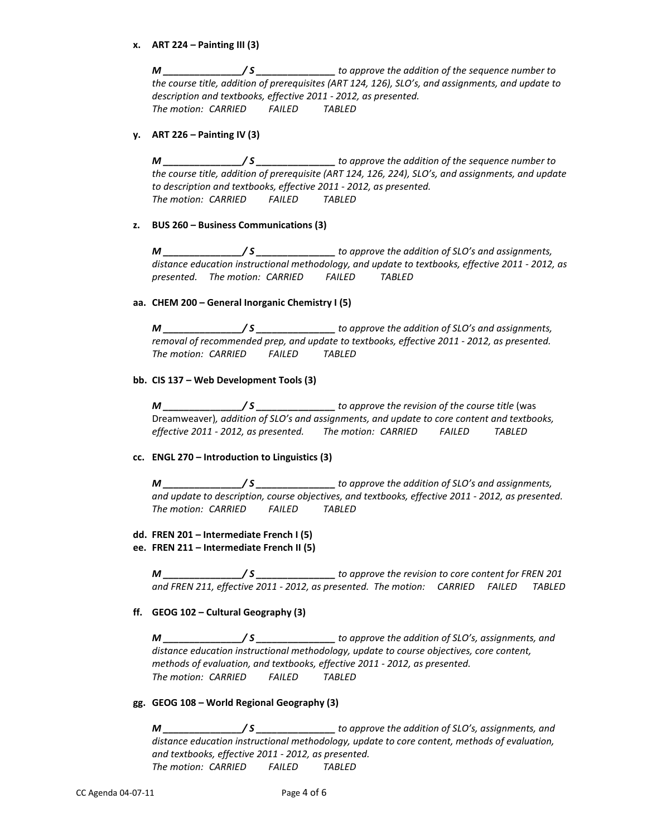## **x. ART 224 – Painting III (3)**

*M \_\_\_\_\_\_\_\_\_\_\_\_\_\_\_/ S \_\_\_\_\_\_\_\_\_\_\_\_\_\_\_ to approve the addition of the sequence number to the course title, addition of prerequisites (ART 124, 126), SLO's, and assignments, and update to description and textbooks, effective 2011 - 2012, as presented. The motion: CARRIED FAILED TABLED*

## **y. ART 226 – Painting IV (3)**

*M \_\_\_\_\_\_\_\_\_\_\_\_\_\_\_/ S \_\_\_\_\_\_\_\_\_\_\_\_\_\_\_ to approve the addition of the sequence number to the course title, addition of prerequisite (ART 124, 126, 224), SLO's, and assignments, and update to description and textbooks, effective 2011 - 2012, as presented. The motion: CARRIED FAILED TABLED*

## **z. BUS 260 – Business Communications (3)**

*M \_\_\_\_\_\_\_\_\_\_\_\_\_\_\_/ S \_\_\_\_\_\_\_\_\_\_\_\_\_\_\_ to approve the addition of SLO's and assignments, distance education instructional methodology, and update to textbooks, effective 2011 - 2012, as presented. The motion: CARRIED FAILED TABLED*

### **aa. CHEM 200 – General Inorganic Chemistry I (5)**

*M \_\_\_\_\_\_\_\_\_\_\_\_\_\_\_/ S \_\_\_\_\_\_\_\_\_\_\_\_\_\_\_ to approve the addition of SLO's and assignments, removal of recommended prep, and update to textbooks, effective 2011 - 2012, as presented. The motion: CARRIED FAILED TABLED*

### **bb. CIS 137 – Web Development Tools (3)**

*M \_\_\_\_\_\_\_\_\_\_\_\_\_\_\_/ S \_\_\_\_\_\_\_\_\_\_\_\_\_\_\_ to approve the revision of the course title* (was Dreamweaver)*, addition of SLO's and assignments, and update to core content and textbooks, effective 2011 - 2012, as presented. The motion: CARRIED FAILED TABLED*

# **cc. ENGL 270 – Introduction to Linguistics (3)**

*M \_\_\_\_\_\_\_\_\_\_\_\_\_\_\_/ S \_\_\_\_\_\_\_\_\_\_\_\_\_\_\_ to approve the addition of SLO's and assignments, and update to description, course objectives, and textbooks, effective 2011 - 2012, as presented. The motion: CARRIED FAILED TABLED*

### **dd. FREN 201 – Intermediate French I (5)**

**ee. FREN 211 – Intermediate French II (5)**

*M \_\_\_\_\_\_\_\_\_\_\_\_\_\_\_/ S \_\_\_\_\_\_\_\_\_\_\_\_\_\_\_ to approve the revision to core content for FREN 201 and FREN 211, effective 2011 - 2012, as presented. The motion: CARRIED FAILED TABLED*

# **ff. GEOG 102 – Cultural Geography (3)**

*M \_\_\_\_\_\_\_\_\_\_\_\_\_\_\_/ S \_\_\_\_\_\_\_\_\_\_\_\_\_\_\_ to approve the addition of SLO's, assignments, and distance education instructional methodology, update to course objectives, core content, methods of evaluation, and textbooks, effective 2011 - 2012, as presented. The motion: CARRIED FAILED TABLED*

### **gg. GEOG 108 – World Regional Geography (3)**

*M \_\_\_\_\_\_\_\_\_\_\_\_\_\_\_/ S \_\_\_\_\_\_\_\_\_\_\_\_\_\_\_ to approve the addition of SLO's, assignments, and distance education instructional methodology, update to core content, methods of evaluation, and textbooks, effective 2011 - 2012, as presented. The motion: CARRIED FAILED TABLED*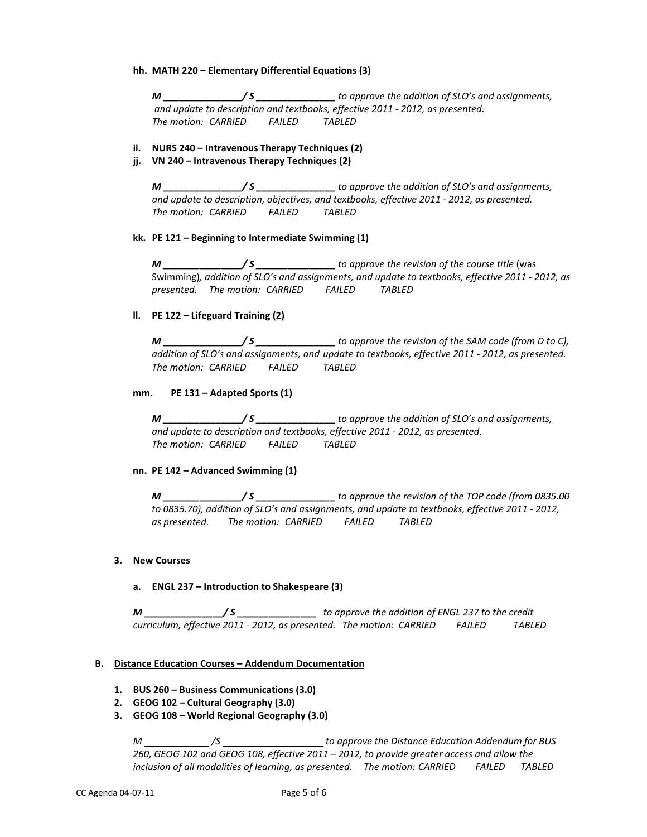### **hh. MATH 220 – Elementary Differential Equations (3)**

*M \_\_\_\_\_\_\_\_\_\_\_\_\_\_\_/ S \_\_\_\_\_\_\_\_\_\_\_\_\_\_\_ to approve the addition of SLO's and assignments, and update to description and textbooks, effective 2011 - 2012, as presented. The motion: CARRIED FAILED TABLED*

## **ii. NURS 240 – Intravenous Therapy Techniques (2)**

**jj. VN 240 – Intravenous Therapy Techniques (2)**

*M \_\_\_\_\_\_\_\_\_\_\_\_\_\_\_/ S \_\_\_\_\_\_\_\_\_\_\_\_\_\_\_ to approve the addition of SLO's and assignments, and update to description, objectives, and textbooks, effective 2011 - 2012, as presented. The motion: CARRIED FAILED TABLED*

## **kk. PE 121 – Beginning to Intermediate Swimming (1)**

*M* \_\_\_\_\_\_\_\_\_\_\_\_\_\_\_/ S \_\_\_\_\_\_\_\_\_\_\_\_\_\_\_\_\_ to approve the revision of the course title (was Swimming)*, addition of SLO's and assignments, and update to textbooks, effective 2011 - 2012, as presented. The motion: CARRIED FAILED TABLED*

# **ll. PE 122 – Lifeguard Training (2)**

*M \_\_\_\_\_\_\_\_\_\_\_\_\_\_\_/ S \_\_\_\_\_\_\_\_\_\_\_\_\_\_\_ to approve the revision of the SAM code (from D to C), addition of SLO's and assignments, and update to textbooks, effective 2011 - 2012, as presented. The motion: CARRIED FAILED TABLED*

## **mm. PE 131 – Adapted Sports (1)**

*M \_\_\_\_\_\_\_\_\_\_\_\_\_\_\_/ S \_\_\_\_\_\_\_\_\_\_\_\_\_\_\_ to approve the addition of SLO's and assignments, and update to description and textbooks, effective 2011 - 2012, as presented. The motion: CARRIED FAILED TABLED*

# **nn. PE 142 – Advanced Swimming (1)**

*M \_\_\_\_\_\_\_\_\_\_\_\_\_\_\_/ S \_\_\_\_\_\_\_\_\_\_\_\_\_\_\_ to approve the revision of the TOP code (from 0835.00 to 0835.70), addition of SLO's and assignments, and update to textbooks, effective 2011 - 2012, as presented. The motion: CARRIED FAILED TABLED*

# **3. New Courses**

# **a. ENGL 237 – Introduction to Shakespeare (3)**

*M \_\_\_\_\_\_\_\_\_\_\_\_\_\_\_/ S \_\_\_\_\_\_\_\_\_\_\_\_\_\_\_ to approve the addition of ENGL 237 to the credit curriculum, effective 2011 - 2012, as presented. The motion: CARRIED FAILED TABLED*

### **B. Distance Education Courses – Addendum Documentation**

- **1. BUS 260 – Business Communications (3.0)**
- **2. GEOG 102 – Cultural Geography (3.0)**
- **3. GEOG 108 – World Regional Geography (3.0)**

*M /S to approve the Distance Education Addendum for BUS 260, GEOG 102 and GEOG 108, effective 2011 – 2012, to provide greater access and allow the inclusion of all modalities of learning, as presented. The motion: CARRIED FAILED TABLED*